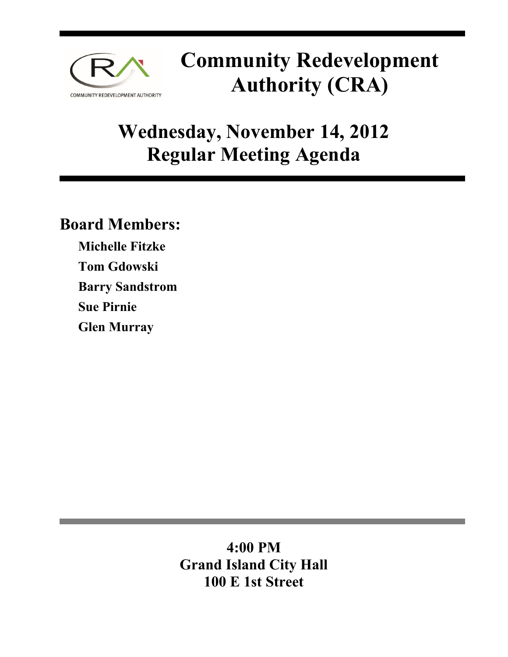

# **Community Redevelopment Authority (CRA)**

# **Wednesday, November 14, 2012 Regular Meeting Agenda**

## **Board Members:**

**Michelle Fitzke Tom Gdowski Barry Sandstrom Sue Pirnie Glen Murray** 

### **4:00 PM Grand Island City Hall 100 E 1st Street**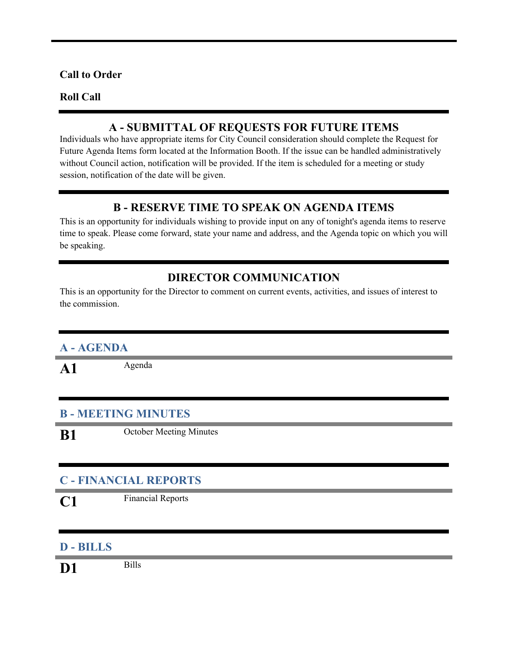#### **Call to Order**

#### **Roll Call**

#### **A - SUBMITTAL OF REQUESTS FOR FUTURE ITEMS**

Individuals who have appropriate items for City Council consideration should complete the Request for Future Agenda Items form located at the Information Booth. If the issue can be handled administratively without Council action, notification will be provided. If the item is scheduled for a meeting or study session, notification of the date will be given.

#### **B - RESERVE TIME TO SPEAK ON AGENDA ITEMS**

This is an opportunity for individuals wishing to provide input on any of tonight's agenda items to reserve time to speak. Please come forward, state your name and address, and the Agenda topic on which you will be speaking.

#### **DIRECTOR COMMUNICATION**

This is an opportunity for the Director to comment on current events, activities, and issues of interest to the commission.

#### **A - AGENDA**

A1 Agenda

#### **B - MEETING MINUTES**

**B1** October Meeting Minutes

#### **C - FINANCIAL REPORTS**

**C1** Financial Reports

#### **D - BILLS**

**D1** Bills